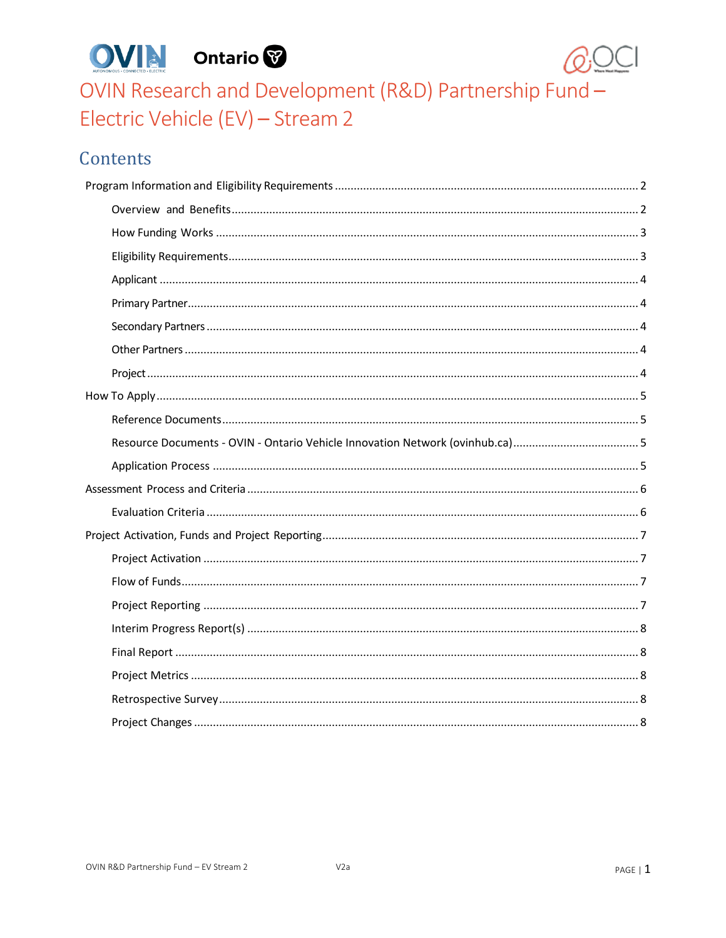



OVIN Research and Development (R&D) Partnership Fund -Electric Vehicle (EV) - Stream 2

# Contents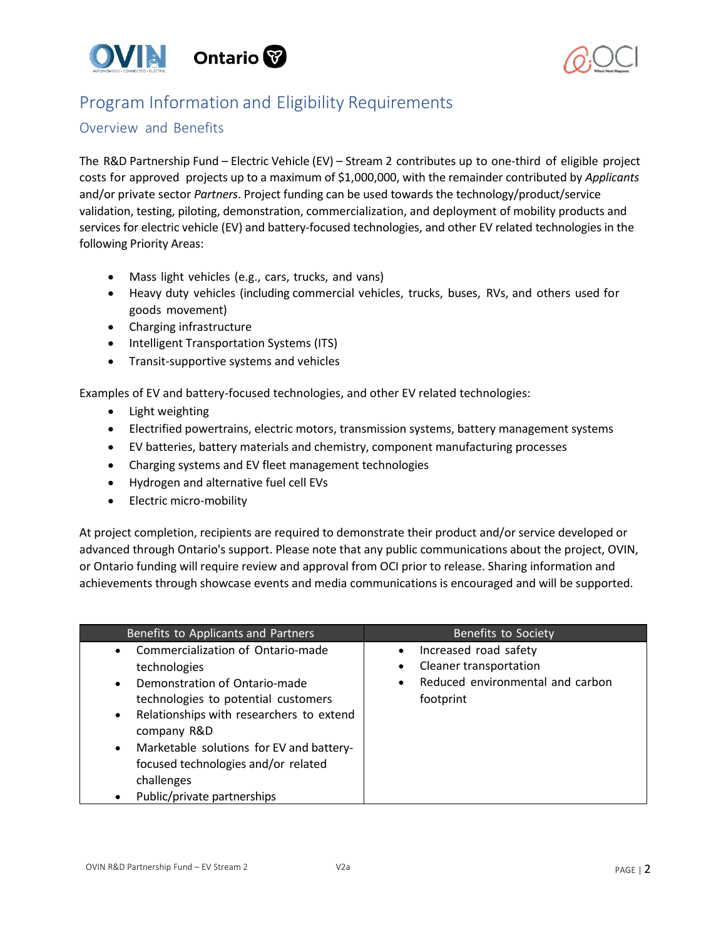



# <span id="page-1-0"></span>Program Information and Eligibility Requirements

## <span id="page-1-1"></span>Overview and Benefits

The R&D Partnership Fund – Electric Vehicle (EV) – Stream 2 contributes up to one-third of eligible project costs for approved projects up to a maximum of \$1,000,000, with the remainder contributed by *Applicants* and/or private sector *Partners*. Project funding can be used towards the technology/product/service validation, testing, piloting, demonstration, commercialization, and deployment of mobility products and services for electric vehicle (EV) and battery-focused technologies, and other EV related technologies in the following Priority Areas:

- Mass light vehicles (e.g., cars, trucks, and vans)
- Heavy duty vehicles (including commercial vehicles, trucks, buses, RVs, and others used for goods movement)
- Charging infrastructure
- Intelligent Transportation Systems (ITS)
- Transit-supportive systems and vehicles

Examples of EV and battery-focused technologies, and other EV related technologies:

- Light weighting
- Electrified powertrains, electric motors, transmission systems, battery management systems
- EV batteries, battery materials and chemistry, component manufacturing processes
- Charging systems and EV fleet management technologies
- Hydrogen and alternative fuel cell EVs
- Electric micro-mobility

At project completion, recipients are required to demonstrate their product and/or service developed or advanced through Ontario's support. Please note that any public communications about the project, OVIN, or Ontario funding will require review and approval from OCI prior to release. Sharing information and achievements through showcase events and media communications is encouraged and will be supported.

| Benefits to Applicants and Partners                                                                                                                                                                                                                                                                                                                | Benefits to Society                                                                                                             |
|----------------------------------------------------------------------------------------------------------------------------------------------------------------------------------------------------------------------------------------------------------------------------------------------------------------------------------------------------|---------------------------------------------------------------------------------------------------------------------------------|
| • Commercialization of Ontario-made<br>technologies<br>• Demonstration of Ontario-made<br>technologies to potential customers<br>Relationships with researchers to extend<br>$\bullet$<br>company R&D<br>Marketable solutions for EV and battery-<br>$\bullet$<br>focused technologies and/or related<br>challenges<br>Public/private partnerships | Increased road safety<br>$\bullet$<br>Cleaner transportation<br>٠<br>Reduced environmental and carbon<br>$\bullet$<br>footprint |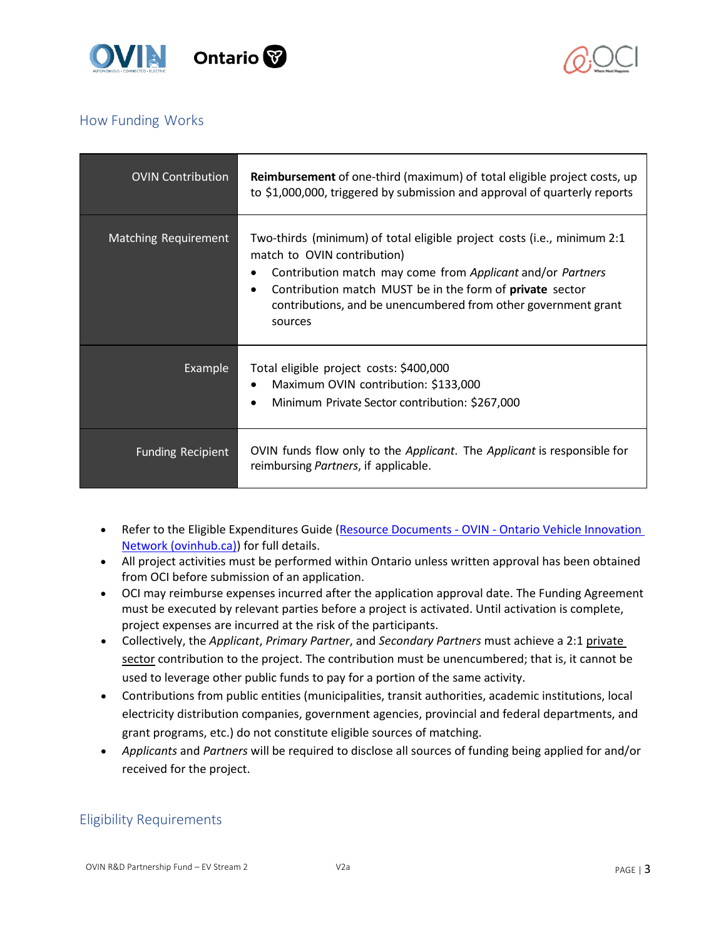



# <span id="page-2-0"></span>How Funding Works

| <b>OVIN Contribution</b> | <b>Reimbursement</b> of one-third (maximum) of total eligible project costs, up<br>to \$1,000,000, triggered by submission and approval of quarterly reports                                                                                                                                                  |
|--------------------------|---------------------------------------------------------------------------------------------------------------------------------------------------------------------------------------------------------------------------------------------------------------------------------------------------------------|
| Matching Requirement     | Two-thirds (minimum) of total eligible project costs (i.e., minimum 2:1<br>match to OVIN contribution)<br>Contribution match may come from Applicant and/or Partners<br>Contribution match MUST be in the form of private sector<br>contributions, and be unencumbered from other government grant<br>sources |
| <b>Example</b>           | Total eligible project costs: \$400,000<br>Maximum OVIN contribution: \$133,000<br>Minimum Private Sector contribution: \$267,000                                                                                                                                                                             |
| <b>Funding Recipient</b> | OVIN funds flow only to the <i>Applicant</i> . The <i>Applicant</i> is responsible for<br>reimbursing Partners, if applicable.                                                                                                                                                                                |

- Refer to the Eligible Expenditures Guide (Resource Documents OVIN Ontario Vehicle Innovation [Network \(ovinhub.ca\)\)](https://www.ovinhub.ca/resource-documents/) for full details.
- All project activities must be performed within Ontario unless written approval has been obtained from OCI before submission of an application.
- OCI may reimburse expenses incurred after the application approval date. The Funding Agreement must be executed by relevant parties before a project is activated. Until activation is complete, project expenses are incurred at the risk of the participants.
- Collectively, the *Applicant*, *Primary Partner*, and *Secondary Partners* must achieve a 2:1 private sector contribution to the project. The contribution must be unencumbered; that is, it cannot be used to leverage other public funds to pay for a portion of the same activity.
- Contributions from public entities (municipalities, transit authorities, academic institutions, local electricity distribution companies, government agencies, provincial and federal departments, and grant programs, etc.) do not constitute eligible sources of matching.
- *Applicants* and *Partners* will be required to disclose all sources of funding being applied for and/or received for the project.

# <span id="page-2-1"></span>Eligibility Requirements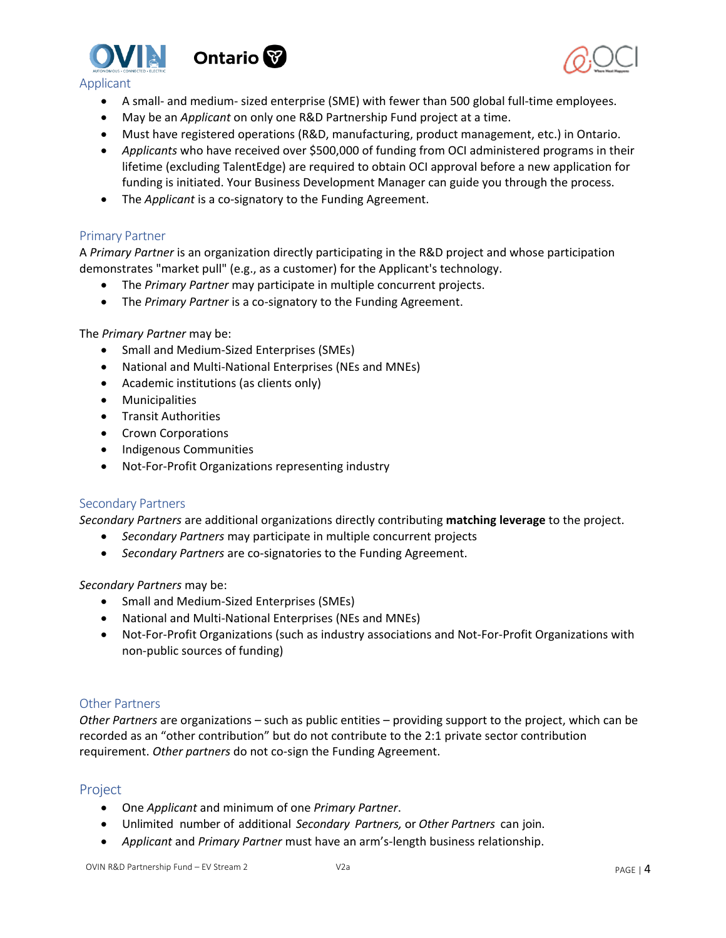



<span id="page-3-0"></span>

- A small- and medium- sized enterprise (SME) with fewer than 500 global full-time employees.
- May be an *Applicant* on only one R&D Partnership Fund project at a time.
- Must have registered operations (R&D, manufacturing, product management, etc.) in Ontario.
- *Applicants* who have received over \$500,000 of funding from OCI administered programs in their lifetime (excluding TalentEdge) are required to obtain OCI approval before a new application for funding is initiated. Your Business Development Manager can guide you through the process.
- The *Applicant* is a co-signatory to the Funding Agreement.

### <span id="page-3-1"></span>Primary Partner

A *Primary Partner* is an organization directly participating in the R&D project and whose participation demonstrates "market pull" (e.g., as a customer) for the Applicant's technology.

- The *Primary Partner* may participate in multiple concurrent projects.
- The *Primary Partner* is a co-signatory to the Funding Agreement.

#### The *Primary Partner* may be:

- Small and Medium-Sized Enterprises (SMEs)
- National and Multi-National Enterprises (NEs and MNEs)
- Academic institutions (as clients only)
- **Municipalities**
- Transit Authorities
- Crown Corporations
- Indigenous Communities
- Not-For-Profit Organizations representing industry

### <span id="page-3-2"></span>Secondary Partners

*Secondary Partners* are additional organizations directly contributing **matching leverage** to the project.

- *Secondary Partners* may participate in multiple concurrent projects
- *Secondary Partners* are co-signatories to the Funding Agreement.

*Secondary Partners* may be:

- Small and Medium-Sized Enterprises (SMEs)
- National and Multi-National Enterprises (NEs and MNEs)
- Not-For-Profit Organizations (such as industry associations and Not-For-Profit Organizations with non-public sources of funding)

### <span id="page-3-3"></span>Other Partners

*Other Partners* are organizations – such as public entities – providing support to the project, which can be recorded as an "other contribution" but do not contribute to the 2:1 private sector contribution requirement. *Other partners* do not co-sign the Funding Agreement.

## <span id="page-3-4"></span>**Project**

- One *Applicant* and minimum of one *Primary Partner*.
- Unlimited number of additional *Secondary Partners,* or *Other Partners* can join.
- *Applicant* and *Primary Partner* must have an arm's-length business relationship.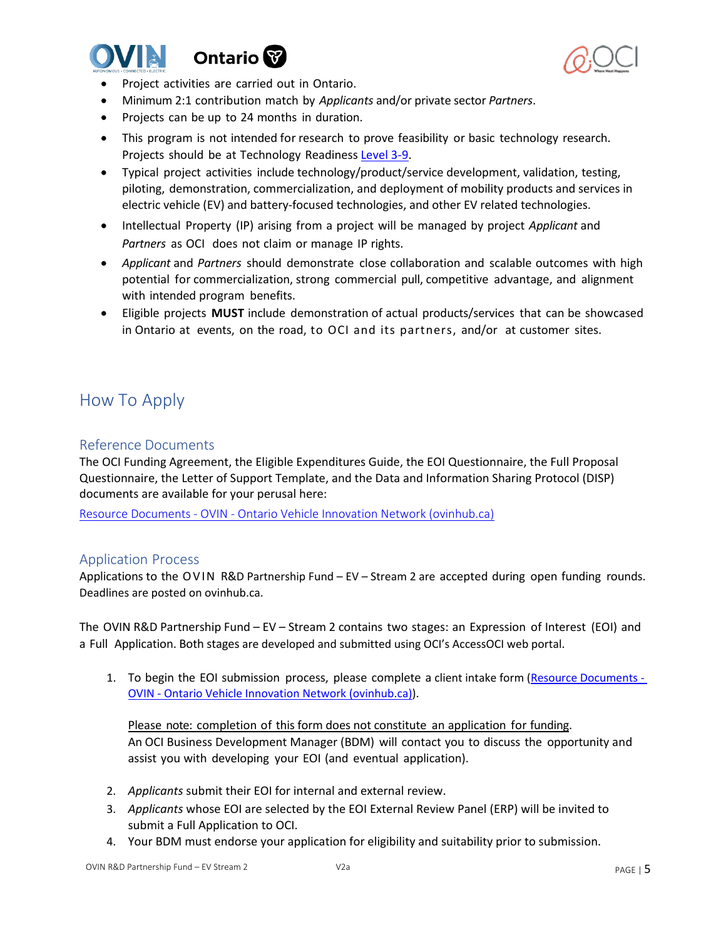





- Project activities are carried out in Ontario.
- Minimum 2:1 contribution match by *Applicants* and/or private sector *Partners*.
- Projects can be up to 24 months in duration.
- This program is not intended for research to prove feasibility or basic technology research. Projects should be at Technology Readiness [Level 3-9.](https://www.ic.gc.ca/eic/site/ito-oti.nsf/eng/00849.html)
- Typical project activities include technology/product/service development, validation, testing, piloting, demonstration, commercialization, and deployment of mobility products and services in electric vehicle (EV) and battery-focused technologies, and other EV related technologies.
- Intellectual Property (IP) arising from a project will be managed by project *Applicant* and *Partners* as OCI does not claim or manage IP rights.
- *Applicant* and *Partners* should demonstrate close collaboration and scalable outcomes with high potential for commercialization, strong commercial pull, competitive advantage, and alignment with intended program benefits.
- Eligible projects **MUST** include demonstration of actual products/services that can be showcased in Ontario at events, on the road, to OCI and its partners, and/or at customer sites.

# <span id="page-4-0"></span>How To Apply

## <span id="page-4-1"></span>Reference Documents

The OCI Funding Agreement, the Eligible Expenditures Guide, the EOI Questionnaire, the Full Proposal Questionnaire, the Letter of Support Template, and the Data and Information Sharing Protocol (DISP) documents are available for your perusal here:

<span id="page-4-2"></span>Resource Documents - OVIN - [Ontario Vehicle Innovation Network \(ovinhub.ca\)](https://www.ovinhub.ca/resource-documents/)

### <span id="page-4-3"></span>Application Process

Applications to the OVIN R&D Partnership Fund – EV – Stream 2 are accepted during open funding rounds. Deadlines are posted on ovinhub.ca.

The OVIN R&D Partnership Fund – EV – Stream 2 contains two stages: an Expression of Interest (EOI) and a Full Application. Both stages are developed and submitted using OCI's AccessOCI web portal.

1. To begin the EOI submission process, please complete a client intake form [\(Resource Documents -](https://www.ovinhub.ca/resource-documents/) OVIN - [Ontario Vehicle Innovation Network \(ovinhub.ca\)\)](https://www.ovinhub.ca/resource-documents/).

Please note: completion of this form does not constitute an application for funding. An OCI Business Development Manager (BDM) will contact you to discuss the opportunity and assist you with developing your EOI (and eventual application).

- 2. *Applicants* submit their EOI for internal and external review.
- 3. *Applicants* whose EOI are selected by the EOI External Review Panel (ERP) will be invited to submit a Full Application to OCI.
- 4. Your BDM must endorse your application for eligibility and suitability prior to submission.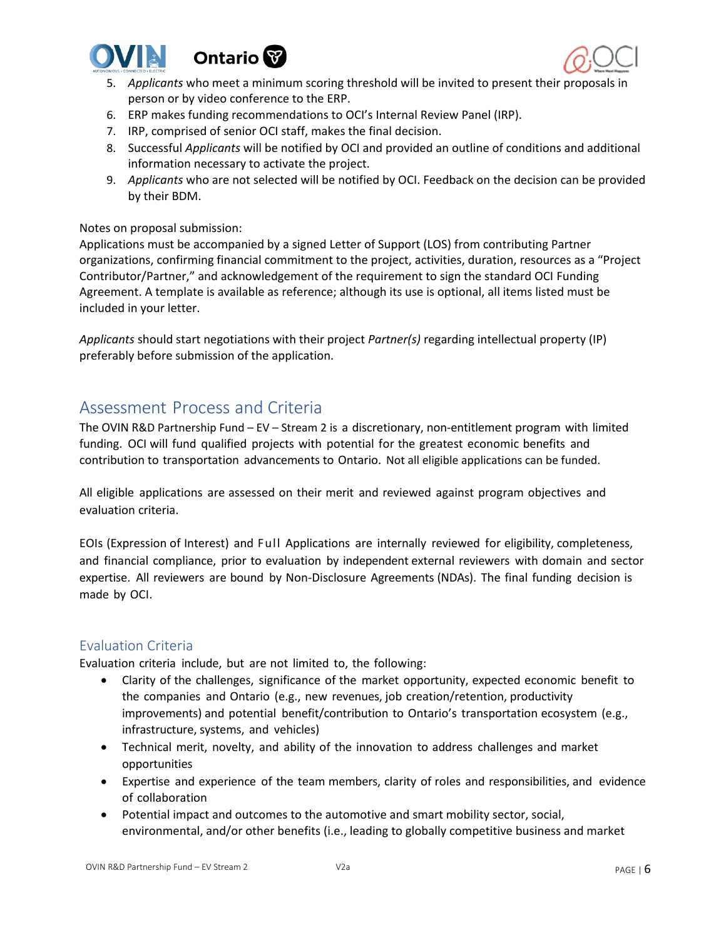



- 5. *Applicants* who meet a minimum scoring threshold will be invited to present their proposals in person or by video conference to the ERP.
- 6. ERP makes funding recommendations to OCI's Internal Review Panel (IRP).
- 7. IRP, comprised of senior OCI staff, makes the final decision.
- 8. Successful *Applicants* will be notified by OCI and provided an outline of conditions and additional information necessary to activate the project.
- 9. *Applicants* who are not selected will be notified by OCI. Feedback on the decision can be provided by their BDM.

### Notes on proposal submission:

Applications must be accompanied by a signed Letter of Support (LOS) from contributing Partner organizations, confirming financial commitment to the project, activities, duration, resources as a "Project Contributor/Partner," and acknowledgement of the requirement to sign the standard OCI Funding Agreement. A template is available as reference; although its use is optional, all items listed must be included in your letter.

*Applicants* should start negotiations with their project *Partner(s)* regarding intellectual property (IP) preferably before submission of the application.

# <span id="page-5-0"></span>Assessment Process and Criteria

The OVIN R&D Partnership Fund – EV – Stream 2 is a discretionary, non-entitlement program with limited funding. OCI will fund qualified projects with potential for the greatest economic benefits and contribution to transportation advancements to Ontario. Not all eligible applications can be funded.

All eligible applications are assessed on their merit and reviewed against program objectives and evaluation criteria.

EOIs (Expression of Interest) and Full Applications are internally reviewed for eligibility, completeness, and financial compliance, prior to evaluation by independent external reviewers with domain and sector expertise. All reviewers are bound by Non-Disclosure Agreements (NDAs). The final funding decision is made by OCI.

## <span id="page-5-1"></span>Evaluation Criteria

Evaluation criteria include, but are not limited to, the following:

- Clarity of the challenges, significance of the market opportunity, expected economic benefit to the companies and Ontario (e.g., new revenues, job creation/retention, productivity improvements) and potential benefit/contribution to Ontario's transportation ecosystem (e.g., infrastructure, systems, and vehicles)
- Technical merit, novelty, and ability of the innovation to address challenges and market opportunities
- Expertise and experience of the team members, clarity of roles and responsibilities, and evidence of collaboration
- Potential impact and outcomes to the automotive and smart mobility sector, social, environmental, and/or other benefits (i.e., leading to globally competitive business and market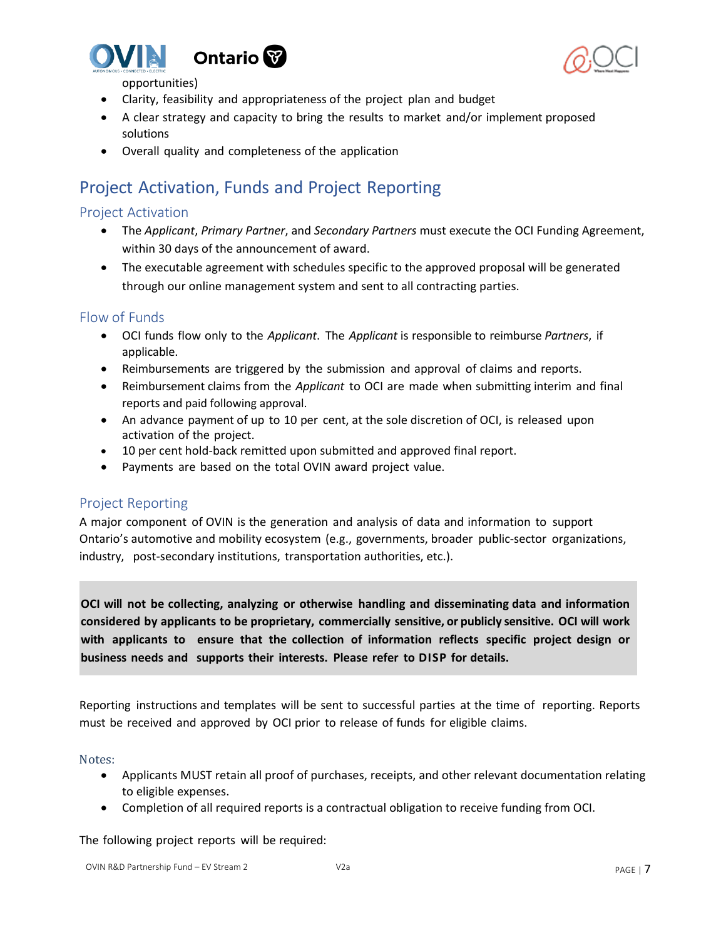



opportunities)

- Clarity, feasibility and appropriateness of the project plan and budget
- A clear strategy and capacity to bring the results to market and/or implement proposed solutions
- Overall quality and completeness of the application

# <span id="page-6-0"></span>Project Activation, Funds and Project Reporting

## <span id="page-6-1"></span>Project Activation

- The *Applicant*, *Primary Partner*, and *Secondary Partners* must execute the OCI Funding Agreement, within 30 days of the announcement of award.
- The executable agreement with schedules specific to the approved proposal will be generated through our online management system and sent to all contracting parties.

# <span id="page-6-2"></span>Flow of Funds

- OCI funds flow only to the *Applicant*. The *Applicant* is responsible to reimburse *Partners*, if applicable.
- Reimbursements are triggered by the submission and approval of claims and reports.
- Reimbursement claims from the *Applicant* to OCI are made when submitting interim and final reports and paid following approval.
- An advance payment of up to 10 per cent, at the sole discretion of OCI, is released upon activation of the project.
- 10 per cent hold-back remitted upon submitted and approved final report.
- Payments are based on the total OVIN award project value.

# <span id="page-6-3"></span>Project Reporting

A major component of OVIN is the generation and analysis of data and information to support Ontario's automotive and mobility ecosystem (e.g., governments, broader public-sector organizations, industry, post-secondary institutions, transportation authorities, etc.).

**OCI will not be collecting, analyzing or otherwise handling and disseminating data and information considered by applicants to be proprietary, commercially sensitive, or publicly sensitive. OCI will work with applicants to ensure that the collection of information reflects specific project design or business needs and supports their interests. Please refer to DISP for details.**

Reporting instructions and templates will be sent to successful parties at the time of reporting. Reports must be received and approved by OCI prior to release of funds for eligible claims.

### Notes:

- Applicants MUST retain all proof of purchases, receipts, and other relevant documentation relating to eligible expenses.
- Completion of all required reports is a contractual obligation to receive funding from OCI.

The following project reports will be required: